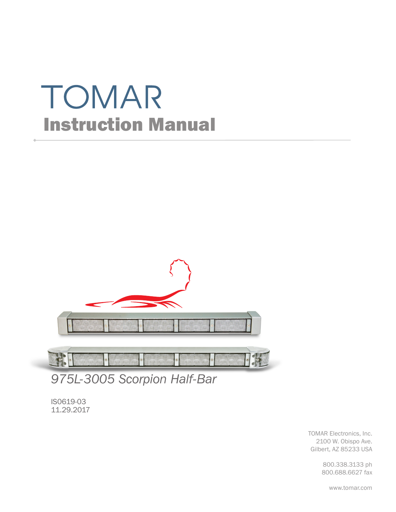# TOMAR Instruction Manual



*975L-3005 Scorpion Half-Bar*

IS0619-03 11.29.2017

> TOMAR Electronics, Inc. 2100 W. Obispo Ave. Gilbert, AZ 85233 USA

> > 800.338.3133 ph 800.688.6627 fax

> > > www.tomar.com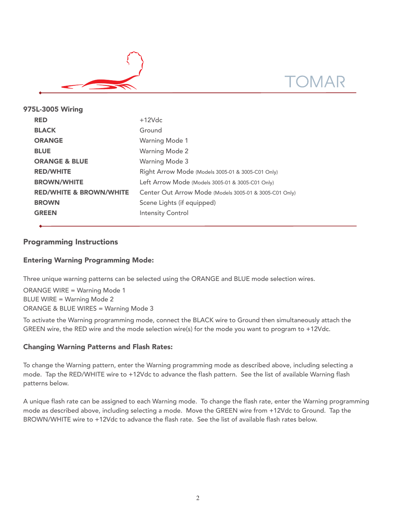

| 975L-3005 Wiring |                                    |                                                        |  |  |  |
|------------------|------------------------------------|--------------------------------------------------------|--|--|--|
|                  | <b>RED</b>                         | $+12Vdc$                                               |  |  |  |
|                  | <b>BLACK</b>                       | Ground                                                 |  |  |  |
|                  | <b>ORANGE</b>                      | <b>Warning Mode 1</b>                                  |  |  |  |
|                  | <b>BLUE</b>                        | <b>Warning Mode 2</b>                                  |  |  |  |
|                  | <b>ORANGE &amp; BLUE</b>           | <b>Warning Mode 3</b>                                  |  |  |  |
|                  | <b>RED/WHITE</b>                   | Right Arrow Mode (Models 3005-01 & 3005-C01 Only)      |  |  |  |
|                  | <b>BROWN/WHITE</b>                 | Left Arrow Mode (Models 3005-01 & 3005-C01 Only)       |  |  |  |
|                  | <b>RED/WHITE &amp; BROWN/WHITE</b> | Center Out Arrow Mode (Models 3005-01 & 3005-C01 Only) |  |  |  |
|                  | <b>BROWN</b>                       | Scene Lights (if equipped)                             |  |  |  |
|                  | <b>GREEN</b>                       | <b>Intensity Control</b>                               |  |  |  |
|                  |                                    |                                                        |  |  |  |

# Programming Instructions

# Entering Warning Programming Mode:

Three unique warning patterns can be selected using the ORANGE and BLUE mode selection wires.

ORANGE WIRE = Warning Mode 1 BLUE WIRE = Warning Mode 2 ORANGE & BLUE WIRES = Warning Mode 3

To activate the Warning programming mode, connect the BLACK wire to Ground then simultaneously attach the GREEN wire, the RED wire and the mode selection wire(s) for the mode you want to program to +12Vdc.

### Changing Warning Patterns and Flash Rates:

To change the Warning pattern, enter the Warning programming mode as described above, including selecting a mode. Tap the RED/WHITE wire to +12Vdc to advance the flash pattern. See the list of available Warning flash patterns below.

A unique flash rate can be assigned to each Warning mode. To change the flash rate, enter the Warning programming mode as described above, including selecting a mode. Move the GREEN wire from +12Vdc to Ground. Tap the BROWN/WHITE wire to +12Vdc to advance the flash rate. See the list of available flash rates below.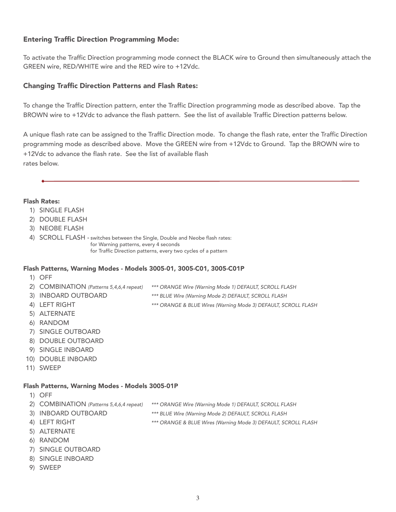# Entering Traffic Direction Programming Mode:

To activate the Traffic Direction programming mode connect the BLACK wire to Ground then simultaneously attach the GREEN wire, RED/WHITE wire and the RED wire to +12Vdc.

## Changing Traffic Direction Patterns and Flash Rates:

To change the Traffic Direction pattern, enter the Traffic Direction programming mode as described above. Tap the BROWN wire to +12Vdc to advance the flash pattern. See the list of available Traffic Direction patterns below.

A unique flash rate can be assigned to the Traffic Direction mode. To change the flash rate, enter the Traffic Direction programming mode as described above. Move the GREEN wire from +12Vdc to Ground. Tap the BROWN wire to +12Vdc to advance the flash rate. See the list of available flash rates below.

#### Flash Rates:

- 1) SINGLE FLASH
- 2) DOUBLE FLASH
- 3) NEOBE FLASH

4) SCROLL FLASH - switches between the Single, Double and Neobe flash rates: for Warning patterns, every 4 seconds for Traffic Direction patterns, every two cycles of a pattern

#### Flash Patterns, Warning Modes - Models 3005-01, 3005-C01, 3005-C01P

- 1) OFF
- 2) COMBINATION (Patterns 5,4,6,4 repeat) \*\*\* ORANGE Wire (Warning Mode 1) DEFAULT, SCROLL FLASH
- 3) INBOARD OUTBOARD \*\*\* BLUE Wire (Warning Mode 2) DEFAULT, SCROLL FLASH
- 4) LEFT RIGHT **EXECUTE:** \*\*\* ORANGE & BLUE Wires (Warning Mode 3) DEFAULT, SCROLL FLASH
- 5) ALTERNATE
- 6) RANDOM
- 7) SINGLE OUTBOARD
- 8) DOUBLE OUTBOARD
- 9) SINGLE INBOARD
- 10) DOUBLE INBOARD
- 11) SWEEP

#### Flash Patterns, Warning Modes - Models 3005-01P

- 1) OFF
- 2) COMBINATION (Patterns 5,4,6,4 repeat) \*\*\* ORANGE Wire (Warning Mode 1) DEFAULT, SCROLL FLASH
- 3) INBOARD OUTBOARD \*\*\* BLUE Wire (Warning Mode 2) DEFAULT, SCROLL FLASH
- 4) LEFT RIGHT \*\*\* ORANGE & BLUE Wires (Warning Mode 3) DEFAULT, SCROLL FLASH
- 5) ALTERNATE
- 6) RANDOM
- 7) SINGLE OUTBOARD
- 8) SINGLE INBOARD
- 9) SWEEP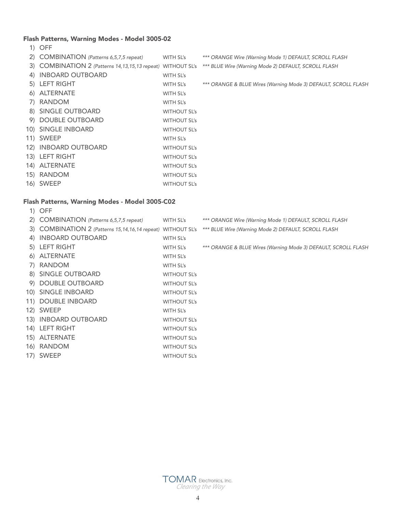# Flash Patterns, Warning Modes - Model 3005-02

1) OFF

|                                                | 2) COMBINATION (Patterns 6,5,7,5 repeat)                       | WITH SL's           | *** ORANGE Wire (Warning Mode 1) DEFAULT, SCROLL FLASH         |  |  |  |
|------------------------------------------------|----------------------------------------------------------------|---------------------|----------------------------------------------------------------|--|--|--|
|                                                | 3) COMBINATION 2 (Patterns 14, 13, 15, 13 repeat) WITHOUT SL's |                     | *** BLUE Wire (Warning Mode 2) DEFAULT, SCROLL FLASH           |  |  |  |
| 4)                                             | <b>INBOARD OUTBOARD</b>                                        | WITH SL's           |                                                                |  |  |  |
|                                                | 5) LEFT RIGHT                                                  | WITH SL's           | *** ORANGE & BLUE Wires (Warning Mode 3) DEFAULT, SCROLL FLASH |  |  |  |
|                                                | 6) ALTERNATE                                                   | WITH SL's           |                                                                |  |  |  |
|                                                | 7) RANDOM                                                      | WITH SL's           |                                                                |  |  |  |
|                                                | 8) SINGLE OUTBOARD                                             | <b>WITHOUT SL's</b> |                                                                |  |  |  |
|                                                | 9) DOUBLE OUTBOARD                                             | <b>WITHOUT SL's</b> |                                                                |  |  |  |
|                                                | 10) SINGLE INBOARD                                             | <b>WITHOUT SL's</b> |                                                                |  |  |  |
|                                                | 11) SWEEP                                                      | WITH SL's           |                                                                |  |  |  |
|                                                | 12) INBOARD OUTBOARD                                           | <b>WITHOUT SL's</b> |                                                                |  |  |  |
|                                                | 13) LEFT RIGHT                                                 | <b>WITHOUT SL's</b> |                                                                |  |  |  |
|                                                | 14) ALTERNATE                                                  | <b>WITHOUT SL's</b> |                                                                |  |  |  |
|                                                | 15) RANDOM                                                     | <b>WITHOUT SL's</b> |                                                                |  |  |  |
|                                                | 16) SWEEP                                                      | <b>WITHOUT SL's</b> |                                                                |  |  |  |
|                                                |                                                                |                     |                                                                |  |  |  |
| Flash Patterns, Warning Modes - Model 3005-C02 |                                                                |                     |                                                                |  |  |  |
|                                                | 1) OFF                                                         |                     |                                                                |  |  |  |

| 2) COMBINATION (Patterns 6,5,7,5 repeat) | WITH SL's           | *** ORANGE Wire (Warning Mode 1) DEFAULT, SCROLL FLASH                                                           |
|------------------------------------------|---------------------|------------------------------------------------------------------------------------------------------------------|
|                                          |                     | 3) COMBINATION 2 (Patterns 15,14,16,14 repeat) WITHOUT SL's *** BLUE Wire (Warning Mode 2) DEFAULT, SCROLL FLASH |
| 4) INBOARD OUTBOARD                      | WITH SL's           |                                                                                                                  |
| 5) LEFT RIGHT                            | WITH SL's           | *** ORANGE & BLUE Wires (Warning Mode 3) DEFAULT, SCROLL FLASH                                                   |
| 6) ALTERNATE                             | WITH SL's           |                                                                                                                  |
| 7) RANDOM                                | WITH SL's           |                                                                                                                  |
| 8) SINGLE OUTBOARD                       | <b>WITHOUT SL's</b> |                                                                                                                  |
| 9) DOUBLE OUTBOARD                       | <b>WITHOUT SL's</b> |                                                                                                                  |
| 10) SINGLE INBOARD                       | <b>WITHOUT SL's</b> |                                                                                                                  |
| 11) DOUBLE INBOARD                       | <b>WITHOUT SL's</b> |                                                                                                                  |
| 12) SWEEP                                | WITH SL's           |                                                                                                                  |
| 13) INBOARD OUTBOARD                     | <b>WITHOUT SL's</b> |                                                                                                                  |
| 14) LEFT RIGHT                           | <b>WITHOUT SL's</b> |                                                                                                                  |
| 15) ALTERNATE                            | <b>WITHOUT SL's</b> |                                                                                                                  |
| 16) RANDOM                               | <b>WITHOUT SL's</b> |                                                                                                                  |
| 17) SWEEP                                | <b>WITHOUT SL's</b> |                                                                                                                  |